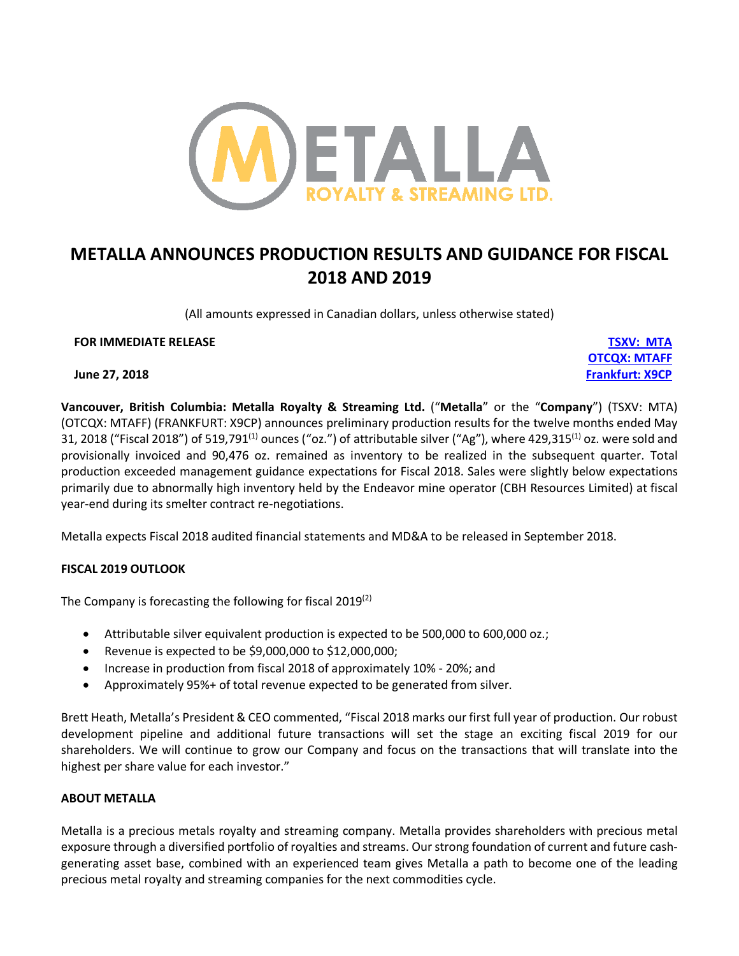

# **METALLA ANNOUNCES PRODUCTION RESULTS AND GUIDANCE FOR FISCAL 2018 AND 2019**

(All amounts expressed in Canadian dollars, unless otherwise stated)

## **FOR IMMEDIATE RELEASE TSXV: MTA**

**Vancouver, British Columbia: Metalla Royalty & Streaming Ltd.** ("**Metalla**" or the "**Company**") (TSXV: MTA) (OTCQX: MTAFF) (FRANKFURT: X9CP) announces preliminary production results for the twelve months ended May 31, 2018 ("Fiscal 2018") of 519,791<sup>(1)</sup> ounces ("oz.") of attributable silver ("Ag"), where 429,315<sup>(1)</sup> oz. were sold and provisionally invoiced and 90,476 oz. remained as inventory to be realized in the subsequent quarter. Total production exceeded management guidance expectations for Fiscal 2018. Sales were slightly below expectations primarily due to abnormally high inventory held by the Endeavor mine operator (CBH Resources Limited) at fiscal year-end during its smelter contract re-negotiations.

Metalla expects Fiscal 2018 audited financial statements and MD&A to be released in September 2018.

## **FISCAL 2019 OUTLOOK**

The Company is forecasting the following for fiscal  $2019^{(2)}$ 

- Attributable silver equivalent production is expected to be 500,000 to 600,000 oz.;
- Revenue is expected to be \$9,000,000 to \$12,000,000;
- Increase in production from fiscal 2018 of approximately 10% 20%; and
- Approximately 95%+ of total revenue expected to be generated from silver.

Brett Heath, Metalla's President & CEO commented, "Fiscal 2018 marks our first full year of production. Our robust development pipeline and additional future transactions will set the stage an exciting fiscal 2019 for our shareholders. We will continue to grow our Company and focus on the transactions that will translate into the highest per share value for each investor."

## **ABOUT METALLA**

Metalla is a precious metals royalty and streaming company. Metalla provides shareholders with precious metal exposure through a diversified portfolio of royalties and streams. Our strong foundation of current and future cashgenerating asset base, combined with an experienced team gives Metalla a path to become one of the leading precious metal royalty and streaming companies for the next commodities cycle.

**OTCQX: MTAFF June 27, 2018 Frankfurt: X9CP**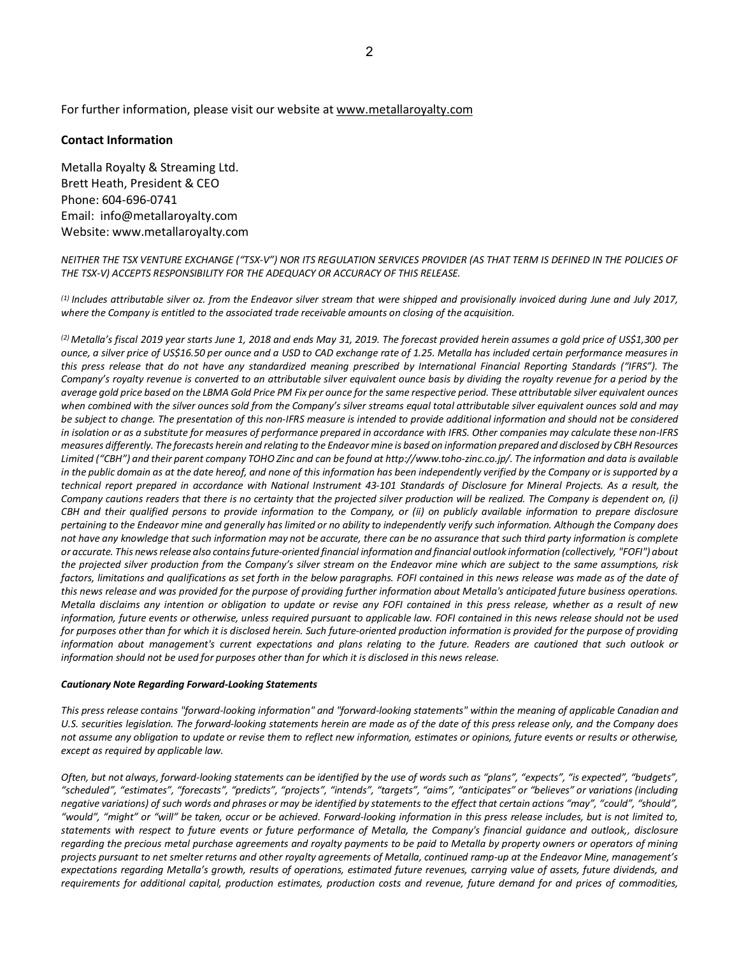For further information, please visit our website at www.metallaroyalty.com

#### **Contact Information**

Metalla Royalty & Streaming Ltd. Brett Heath, President & CEO Phone: 604-696-0741 Email: info@metallaroyalty.com Website: www.metallaroyalty.com

*NEITHER THE TSX VENTURE EXCHANGE ("TSX-V") NOR ITS REGULATION SERVICES PROVIDER (AS THAT TERM IS DEFINED IN THE POLICIES OF THE TSX-V) ACCEPTS RESPONSIBILITY FOR THE ADEQUACY OR ACCURACY OF THIS RELEASE.*

*(1) Includes attributable silver oz. from the Endeavor silver stream that were shipped and provisionally invoiced during June and July 2017, where the Company is entitled to the associated trade receivable amounts on closing of the acquisition.*

*(2) Metalla's fiscal 2019 year starts June 1, 2018 and ends May 31, 2019. The forecast provided herein assumes a gold price of US\$1,300 per ounce, a silver price of US\$16.50 per ounce and a USD to CAD exchange rate of 1.25. Metalla has included certain performance measures in this press release that do not have any standardized meaning prescribed by International Financial Reporting Standards ("IFRS"). The Company's royalty revenue is converted to an attributable silver equivalent ounce basis by dividing the royalty revenue for a period by the average gold price based on the LBMA Gold Price PM Fix per ounce for the same respective period. These attributable silver equivalent ounces when combined with the silver ounces sold from the Company's silver streams equal total attributable silver equivalent ounces sold and may be subject to change. The presentation of this non-IFRS measure is intended to provide additional information and should not be considered in isolation or as a substitute for measures of performance prepared in accordance with IFRS. Other companies may calculate these non-IFRS measures differently. The forecasts herein and relating to the Endeavor mine is based on information prepared and disclosed by CBH Resources*  Limited ("CBH") and their parent company TOHO Zinc and can be found at http://www.toho-zinc.co.jp/. The information and data is available in the public domain as at the date hereof, and none of this information has been independently verified by the Company or is *supported by a technical report prepared in accordance with National Instrument 43-101 Standards of Disclosure for Mineral Projects. As a result, the Company cautions readers that there is no certainty that the projected silver production will be realized. The Company is dependent on, (i) CBH and their qualified persons to provide information to the Company, or (ii) on publicly available information to prepare disclosure pertaining to the Endeavor mine and generally has limited or no ability to independently verify such information. Although the Company does not have any knowledge that such information may not be accurate, there can be no assurance that such third party information is complete or accurate. This news release also contains future-oriented financial information and financial outlook information (collectively, "FOFI") about the projected silver production from the Company's silver stream on the Endeavor mine which are subject to the same assumptions, risk factors, limitations and qualifications as set forth in the below paragraphs. FOFI contained in this news release was made as of the date of this news release and was provided for the purpose of providing further information about Metalla's anticipated future business operations. Metalla disclaims any intention or obligation to update or revise any FOFI contained in this press release, whether as a result of new information, future events or otherwise, unless required pursuant to applicable law. FOFI contained in this news release should not be used for purposes other than for which it is disclosed herein. Such future-oriented production information is provided for the purpose of providing information about management's current expectations and plans relating to the future. Readers are cautioned that such outlook or information should not be used for purposes other than for which it is disclosed in this news release.*

#### *Cautionary Note Regarding Forward-Looking Statements*

*This press release contains "forward-looking information" and "forward-looking statements" within the meaning of applicable Canadian and*  U.S. securities legislation. The forward-looking statements herein are made as of the date of this press release only, and the Company does *not assume any obligation to update or revise them to reflect new information, estimates or opinions, future events or results or otherwise, except as required by applicable law.*

*Often, but not always, forward-looking statements can be identified by the use of words such as "plans", "expects", "is expected", "budgets", "scheduled", "estimates", "forecasts", "predicts", "projects", "intends", "targets", "aims", "anticipates" or "believes" or variations (including negative variations) of such words and phrases or may be identified by statements to the effect that certain actions "may", "could", "should", "would", "might" or "will" be taken, occur or be achieved. Forward-looking information in this press release includes, but is not limited to, statements with respect to future events or future performance of Metalla, the Company's financial guidance and outlook,, disclosure regarding the precious metal purchase agreements and royalty payments to be paid to Metalla by property owners or operators of mining projects pursuant to net smelter returns and other royalty agreements of Metalla, continued ramp-up at the Endeavor Mine, management's expectations regarding Metalla's growth, results of operations, estimated future revenues, carrying value of assets, future dividends, and requirements for additional capital, production estimates, production costs and revenue, future demand for and prices of commodities,*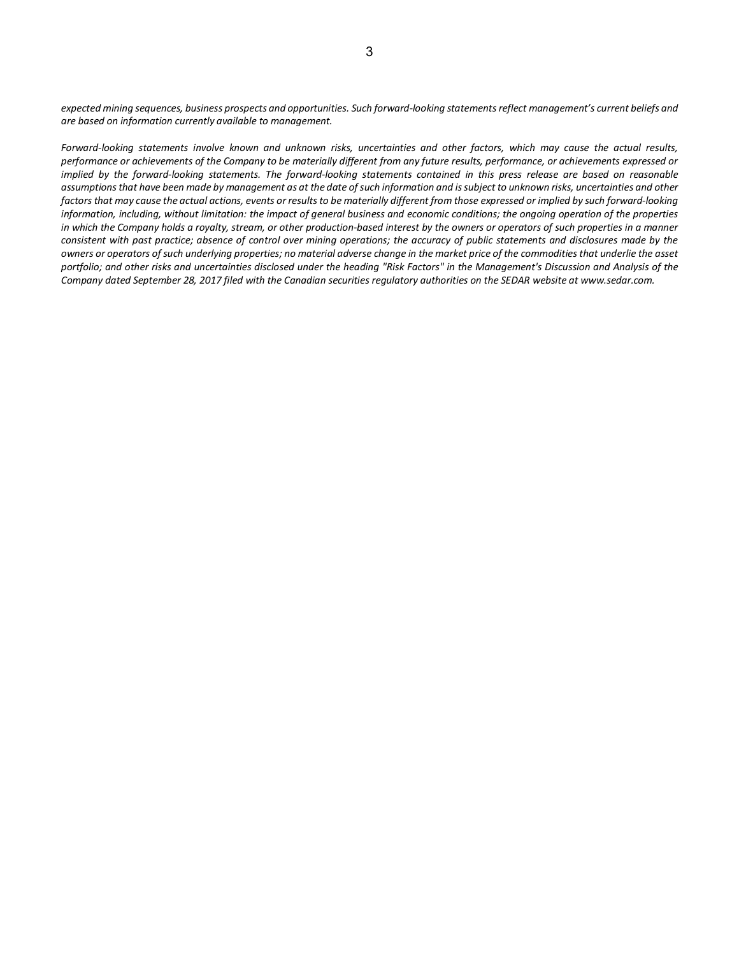*expected mining sequences, business prospects and opportunities. Such forward-looking statements reflect management's current beliefs and are based on information currently available to management.* 

*Forward-looking statements involve known and unknown risks, uncertainties and other factors, which may cause the actual results, performance or achievements of the Company to be materially different from any future results, performance, or achievements expressed or implied by the forward-looking statements. The forward-looking statements contained in this press release are based on reasonable*  assumptions that have been made by management as at the date of such information and is subject to unknown risks, uncertainties and other *factors that may cause the actual actions, events or results to be materially different from those expressed or implied by such forward-looking information, including, without limitation: the impact of general business and economic conditions; the ongoing operation of the properties in which the Company holds a royalty, stream, or other production-based interest by the owners or operators of such properties in a manner consistent with past practice; absence of control over mining operations; the accuracy of public statements and disclosures made by the owners or operators of such underlying properties; no material adverse change in the market price of the commodities that underlie the asset portfolio; and other risks and uncertainties disclosed under the heading "Risk Factors" in the Management's Discussion and Analysis of the Company dated September 28, 2017 filed with the Canadian securities regulatory authorities on the SEDAR website at www.sedar.com.*